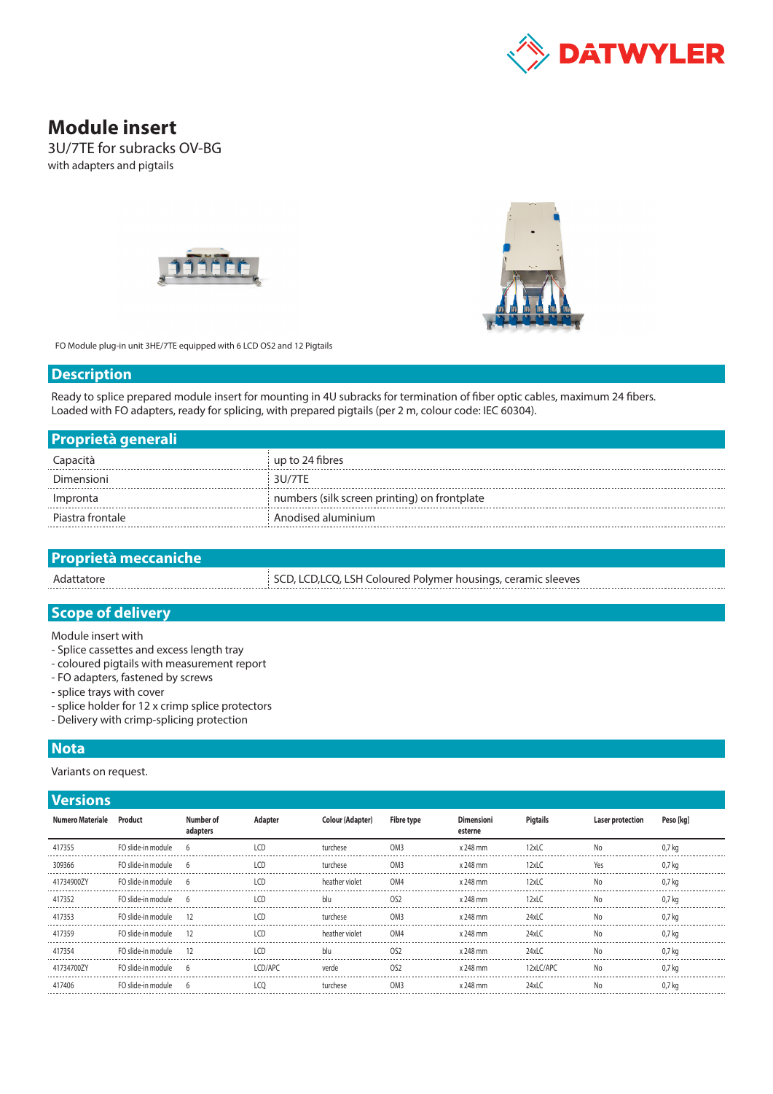

# **Module insert**

3U/7TE for subracks OV-BG with adapters and pigtails





FO Module plug-in unit 3HE/7TE equipped with 6 LCD OS2 and 12 Pigtails

#### **Description**

Ready to splice prepared module insert for mounting in 4U subracks for termination of fiber optic cables, maximum 24 fibers. Loaded with FO adapters, ready for splicing, with prepared pigtails (per 2 m, colour code: IEC 60304).

| <b>Proprietà generali</b> |                                              |
|---------------------------|----------------------------------------------|
| Capacità                  | up to 24 fibres                              |
| Dimensioni                | 311/7TF                                      |
| Impronta                  | numbers (silk screen printing) on frontplate |
| Piastra frontale          | Anodised aluminium                           |

| <b>Proprietà meccaniche</b> |                                                               |
|-----------------------------|---------------------------------------------------------------|
| Adattatore                  | SCD, LCD, LCQ, LSH Coloured Polymer housings, ceramic sleeves |
|                             |                                                               |

# **Scope of delivery**

Module insert with

- Splice cassettes and excess length tray
- coloured pigtails with measurement report
- FO adapters, fastened by screws
- splice trays with cover
- splice holder for 12 x crimp splice protectors
- Delivery with crimp-splicing protection

### **Nota**

Variants on request.

## **Versions**

| Numero Materiale | Product              | Number of<br>adapters | Adapter        | <b>Colour (Adapter)</b> | <b>Fibre type</b> | <b>Dimensioni</b><br>esterne | Pigtails   | <b>Laser protection</b> | Peso [kg]         |
|------------------|----------------------|-----------------------|----------------|-------------------------|-------------------|------------------------------|------------|-------------------------|-------------------|
| 417355           | FO slide-in module   | 6                     | ICD            | turchese                | OM <sub>3</sub>   | x 248 mm                     | 12xLC      | No                      | 0.7 <sub>k</sub>  |
| 309366           | FO slide-in module   |                       | $\overline{1}$ | turchese                | OM <sub>3</sub>   | x 248 mm                     | $12x$ LC   |                         | $0.7k$ a          |
| 41734900ZY       | FO slide-in module 6 |                       | LCD            | heather violet          | OM4               | x 248 mm                     | $12x$ LC   | No                      | 0.7 kg            |
| 417352           | FO slide-in module   |                       | ICD            | blu                     | OS <sub>2</sub>   | x 248 mm                     | $12x$ LC   |                         | 0.7 ka            |
| 417353           | FO slide-in module   | 12                    | LCD            | turchese                | OM3               | x 248 mm                     | 24xLC      | No                      | 0.7 ka            |
| 417359           | FO slide-in module   | -12                   | ICD            | heather violet          | OM4               | x 248 mm                     | $24x$ LC   | No                      | 0.7 ka            |
| 417354           | FO slide-in module   | -12                   | ICD.           | blu                     | OS <sub>2</sub>   | x 248 mm                     | 24xLC      | No                      | $0.7k$ a          |
| 41734700ZY       | FO slide-in module   |                       | <b>ICD/APC</b> | verde                   | OS <sub>2</sub>   | x 248 mm                     | 12xl C/APC | No                      | 0.7 ka            |
| 417406           | FO slide-in module   | -6                    | LCO            | turchese                | OM <sub>3</sub>   | x 248 mm                     | 24xLC      | No                      | 0.7 <sub>kq</sub> |